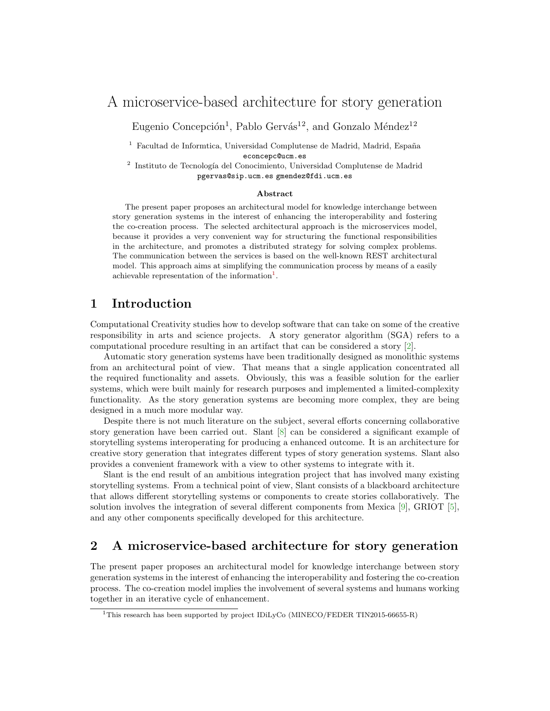# A microservice-based architecture for story generation

Eugenio Concepción<sup>1</sup>, Pablo Gervás<sup>12</sup>, and Gonzalo Méndez<sup>12</sup>

 $1$  Facultad de Informtica, Universidad Complutense de Madrid, Madrid, España econcepc@ucm.es

<sup>2</sup> Instituto de Tecnología del Conocimiento, Universidad Complutense de Madrid pgervas@sip.ucm.es gmendez@fdi.ucm.es

#### Abstract

The present paper proposes an architectural model for knowledge interchange between story generation systems in the interest of enhancing the interoperability and fostering the co-creation process. The selected architectural approach is the microservices model, because it provides a very convenient way for structuring the functional responsibilities in the architecture, and promotes a distributed strategy for solving complex problems. The communication between the services is based on the well-known REST architectural model. This approach aims at simplifying the communication process by means of a easily achievable representation of the information<sup>[1](#page-0-0)</sup>.

### 1 Introduction

Computational Creativity studies how to develop software that can take on some of the creative responsibility in arts and science projects. A story generator algorithm (SGA) refers to a computational procedure resulting in an artifact that can be considered a story [\[2\]](#page-1-0).

Automatic story generation systems have been traditionally designed as monolithic systems from an architectural point of view. That means that a single application concentrated all the required functionality and assets. Obviously, this was a feasible solution for the earlier systems, which were built mainly for research purposes and implemented a limited-complexity functionality. As the story generation systems are becoming more complex, they are being designed in a much more modular way.

Despite there is not much literature on the subject, several efforts concerning collaborative story generation have been carried out. Slant [\[8\]](#page-1-1) can be considered a significant example of storytelling systems interoperating for producing a enhanced outcome. It is an architecture for creative story generation that integrates different types of story generation systems. Slant also provides a convenient framework with a view to other systems to integrate with it.

Slant is the end result of an ambitious integration project that has involved many existing storytelling systems. From a technical point of view, Slant consists of a blackboard architecture that allows different storytelling systems or components to create stories collaboratively. The solution involves the integration of several different components from Mexica [\[9\]](#page-1-2), GRIOT [\[5\]](#page-1-3), and any other components specifically developed for this architecture.

## 2 A microservice-based architecture for story generation

The present paper proposes an architectural model for knowledge interchange between story generation systems in the interest of enhancing the interoperability and fostering the co-creation process. The co-creation model implies the involvement of several systems and humans working together in an iterative cycle of enhancement.

<span id="page-0-0"></span><sup>&</sup>lt;sup>1</sup>This research has been supported by project IDiLyCo (MINECO/FEDER TIN2015-66655-R)